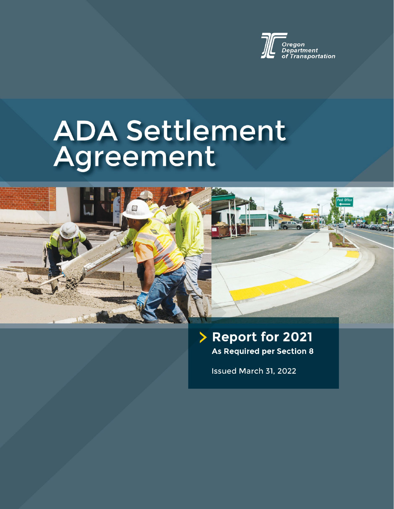

# **ADA Settlement** Agreement



### Report for 2021 As Required per Section 8

Issued March 31, 2022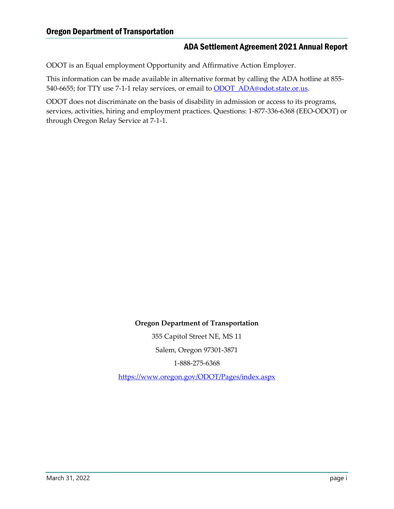ODOT is an Equal employment Opportunity and Affirmative Action Employer.

This information can be made available in alternative format by calling the ADA hotline at 855- 540-6655; for TTY use 7-1-1 relay services, or email to **ODOT** ADA@odot.state.or.us.

ODOT does not discriminate on the basis of disability in admission or access to its programs, services, activities, hiring and employment practices. Questions: 1-877-336-6368 (EEO-ODOT) or through Oregon Relay Service at 7-1-1.

**Oregon Department of Transportation**

355 Capitol Street NE, MS 11 Salem, Oregon 97301-3871

1-888-275-6368

<https://www.oregon.gov/ODOT/Pages/index.aspx>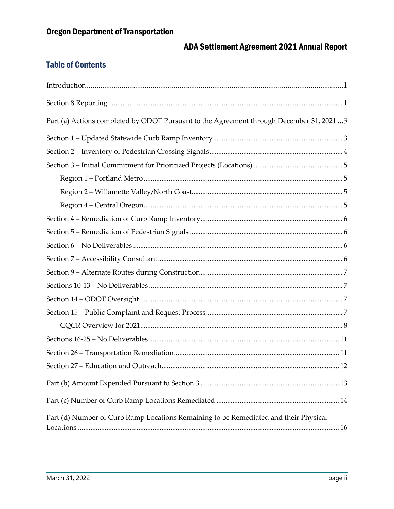#### **Table of Contents**

| Part (a) Actions completed by ODOT Pursuant to the Agreement through December 31, 2021 3 |  |
|------------------------------------------------------------------------------------------|--|
|                                                                                          |  |
|                                                                                          |  |
|                                                                                          |  |
|                                                                                          |  |
|                                                                                          |  |
|                                                                                          |  |
|                                                                                          |  |
|                                                                                          |  |
|                                                                                          |  |
|                                                                                          |  |
|                                                                                          |  |
|                                                                                          |  |
|                                                                                          |  |
|                                                                                          |  |
|                                                                                          |  |
|                                                                                          |  |
|                                                                                          |  |
|                                                                                          |  |
|                                                                                          |  |
|                                                                                          |  |
| Part (d) Number of Curb Ramp Locations Remaining to be Remediated and their Physical     |  |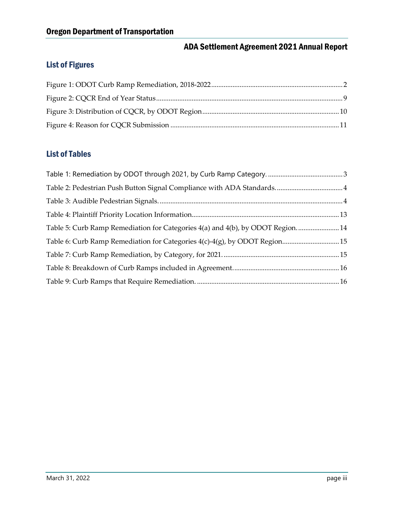#### List of Figures

#### List of Tables

| Table 5: Curb Ramp Remediation for Categories 4(a) and 4(b), by ODOT Region 14 |  |
|--------------------------------------------------------------------------------|--|
| Table 6: Curb Ramp Remediation for Categories 4(c)-4(g), by ODOT Region 15     |  |
|                                                                                |  |
|                                                                                |  |
|                                                                                |  |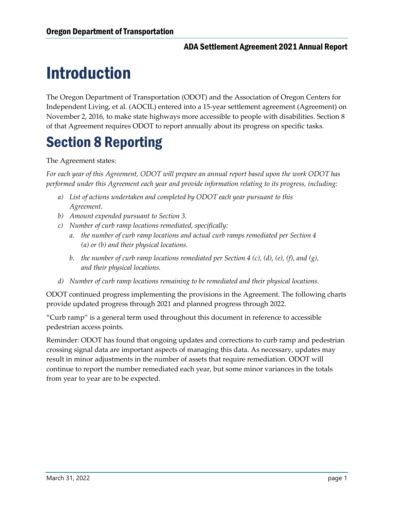# <span id="page-4-0"></span>Introduction

The Oregon Department of Transportation (ODOT) and the Association of Oregon Centers for Independent Living, et al. (AOCIL) entered into a 15-year settlement agreement (Agreement) on November 2, 2016, to make state highways more accessible to people with disabilities. Section 8 of that Agreement requires ODOT to report annually about its progress on specific tasks.

### <span id="page-4-1"></span>Section 8 Reporting

The Agreement states:

*For each year of this Agreement, ODOT will prepare an annual report based upon the work ODOT has performed under this Agreement each year and provide information relating to its progress, including:*

- *a) List of actions undertaken and completed by ODOT each year pursuant to this Agreement.*
- *b) Amount expended pursuant to Section 3.*
- *c) Number of curb ramp locations remediated, specifically:*
	- *a. the number of curb ramp locations and actual curb ramps remediated per Section 4 (a) or (b) and their physical locations.*
	- *b. the number of curb ramp locations remediated per Section 4 (c), (d), (e), (f), and (g), and their physical locations.*
- *d) Number of curb ramp locations remaining to be remediated and their physical locations.*

ODOT continued progress implementing the provisions in the Agreement. The following charts provide updated progress through 2021 and planned progress through 2022.

"Curb ramp" is a general term used throughout this document in reference to accessible pedestrian access points.

Reminder: ODOT has found that ongoing updates and corrections to curb ramp and pedestrian crossing signal data are important aspects of managing this data. As necessary, updates may result in minor adjustments in the number of assets that require remediation. ODOT will continue to report the number remediated each year, but some minor variances in the totals from year to year are to be expected.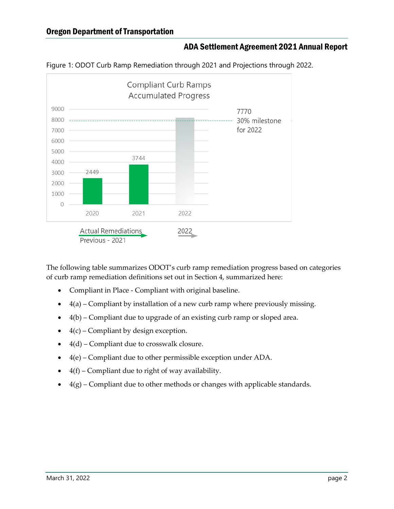#### Oregon Department of Transportation

#### ADA Settlement Agreement 2021 Annual Report



<span id="page-5-0"></span>Figure 1: ODOT Curb Ramp Remediation through 2021 and Projections through 2022.

The following table summarizes ODOT's curb ramp remediation progress based on categories of curb ramp remediation definitions set out in Section 4, summarized here:

- Compliant in Place Compliant with original baseline.
- $\bullet$  4(a) Compliant by installation of a new curb ramp where previously missing.
- 4(b) Compliant due to upgrade of an existing curb ramp or sloped area.
- $\bullet$  4(c) Compliant by design exception.
- $4(d)$  Compliant due to crosswalk closure.
- 4(e) Compliant due to other permissible exception under ADA.
- $\bullet$  4(f) Compliant due to right of way availability.
- $\bullet$  4(g) Compliant due to other methods or changes with applicable standards.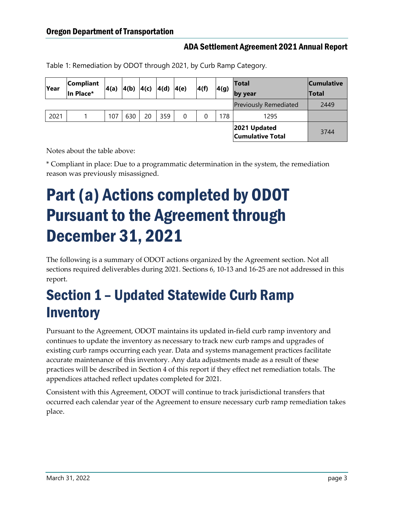| Year | Compliant<br>In Place* | 4(a) | 4(b)  4(c) |    | 4(d) | 4(e) | 4(f) | 4(g) | <b>Total</b><br>by year                 | <b>Cumulative</b><br>Total |
|------|------------------------|------|------------|----|------|------|------|------|-----------------------------------------|----------------------------|
|      |                        |      |            |    |      |      |      |      | <b>Previously Remediated</b>            | 2449                       |
| 2021 |                        | 107  | 630        | 20 | 359  | 0    |      | 178  | 1295                                    |                            |
|      |                        |      |            |    |      |      |      |      | 2021 Updated<br><b>Cumulative Total</b> | 3744                       |

<span id="page-6-2"></span>Table 1: Remediation by ODOT through 2021, by Curb Ramp Category.

Notes about the table above:

\* Compliant in place: Due to a programmatic determination in the system, the remediation reason was previously misassigned.

# <span id="page-6-0"></span>Part (a) Actions completed by ODOT Pursuant to the Agreement through December 31, 2021

The following is a summary of ODOT actions organized by the Agreement section. Not all sections required deliverables during 2021. Sections 6, 10-13 and 16-25 are not addressed in this report.

### <span id="page-6-1"></span>Section 1 – Updated Statewide Curb Ramp **Inventory**

Pursuant to the Agreement, ODOT maintains its updated in-field curb ramp inventory and continues to update the inventory as necessary to track new curb ramps and upgrades of existing curb ramps occurring each year. Data and systems management practices facilitate accurate maintenance of this inventory. Any data adjustments made as a result of these practices will be described in Section 4 of this report if they effect net remediation totals. The appendices attached reflect updates completed for 2021.

Consistent with this Agreement, ODOT will continue to track jurisdictional transfers that occurred each calendar year of the Agreement to ensure necessary curb ramp remediation takes place.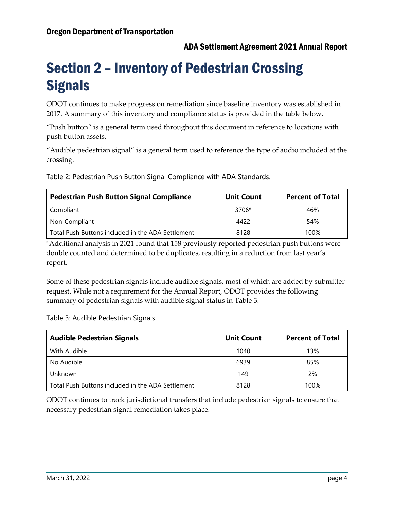### <span id="page-7-0"></span>Section 2 – Inventory of Pedestrian Crossing **Signals**

ODOT continues to make progress on remediation since baseline inventory was established in 2017. A summary of this inventory and compliance status is provided in the table below.

"Push button" is a general term used throughout this document in reference to locations with push button assets.

"Audible pedestrian signal" is a general term used to reference the type of audio included at the crossing.

<span id="page-7-1"></span>Table 2: Pedestrian Push Button Signal Compliance with ADA Standards.

| <b>Pedestrian Push Button Signal Compliance</b>   | <b>Unit Count</b> | <b>Percent of Total</b> |
|---------------------------------------------------|-------------------|-------------------------|
| Compliant                                         | 3706*             | 46%                     |
| Non-Compliant                                     | 4422              | 54%                     |
| Total Push Buttons included in the ADA Settlement | 8128              | 100%                    |

\*Additional analysis in 2021 found that 158 previously reported pedestrian push buttons were double counted and determined to be duplicates, resulting in a reduction from last year's report.

Some of these pedestrian signals include audible signals, most of which are added by submitter request. While not a requirement for the Annual Report, ODOT provides the following summary of pedestrian signals with audible signal status in Table 3.

<span id="page-7-2"></span>Table 3: Audible Pedestrian Signals.

| <b>Audible Pedestrian Signals</b>                 | <b>Unit Count</b> | <b>Percent of Total</b> |
|---------------------------------------------------|-------------------|-------------------------|
| With Audible                                      | 1040              | 13%                     |
| No Audible                                        | 6939              | 85%                     |
| Unknown                                           | 149               | 2%                      |
| Total Push Buttons included in the ADA Settlement | 8128              | 100%                    |

ODOT continues to track jurisdictional transfers that include pedestrian signals to ensure that necessary pedestrian signal remediation takes place.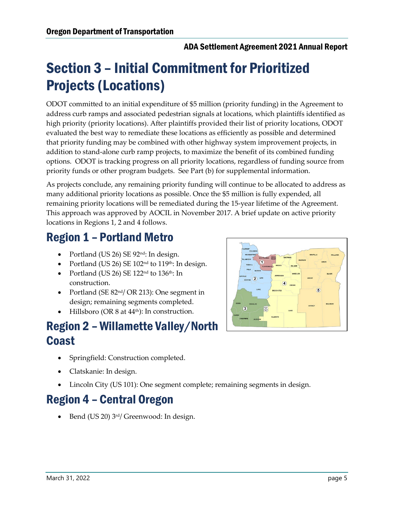### <span id="page-8-0"></span>Section 3 – Initial Commitment for Prioritized Projects (Locations)

ODOT committed to an initial expenditure of \$5 million (priority funding) in the Agreement to address curb ramps and associated pedestrian signals at locations, which plaintiffs identified as high priority (priority locations). After plaintiffs provided their list of priority locations, ODOT evaluated the best way to remediate these locations as efficiently as possible and determined that priority funding may be combined with other highway system improvement projects, in addition to stand-alone curb ramp projects, to maximize the benefit of its combined funding options. ODOT is tracking progress on all priority locations, regardless of funding source from priority funds or other program budgets. See Part (b) for supplemental information.

As projects conclude, any remaining priority funding will continue to be allocated to address as many additional priority locations as possible. Once the \$5 million is fully expended, all remaining priority locations will be remediated during the 15-year lifetime of the Agreement. This approach was approved by AOCIL in November 2017. A brief update on active priority locations in Regions 1, 2 and 4 follows.

### <span id="page-8-1"></span>Region 1 – Portland Metro

- Portland (US 26) SE 92<sup>nd</sup>: In design.
- Portland (US 26) SE  $102<sup>nd</sup>$  to  $119<sup>th</sup>$ : In design.
- Portland (US 26) SE  $122<sup>nd</sup>$  to  $136<sup>th</sup>$ : In
- construction. • Portland (SE 82<sup>nd</sup>/ OR 213): One segment in design; remaining segments completed.
- Hillsboro (OR 8 at 44th): In construction.

### <span id="page-8-2"></span>Region 2 – Willamette Valley/North Coast

- Springfield: Construction completed.
- Clatskanie: In design.
- Lincoln City (US 101): One segment complete; remaining segments in design.

### <span id="page-8-3"></span>Region 4 – Central Oregon

Bend (US 20) 3<sup>rd</sup>/ Greenwood: In design.

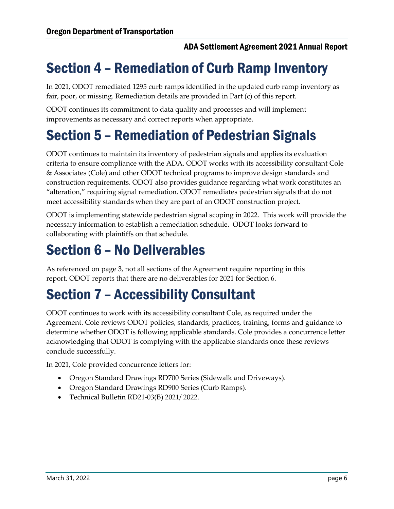### <span id="page-9-0"></span>Section 4 – Remediation of Curb Ramp Inventory

In 2021, ODOT remediated 1295 curb ramps identified in the updated curb ramp inventory as fair, poor, or missing. Remediation details are provided in Part (c) of this report.

ODOT continues its commitment to data quality and processes and will implement improvements as necessary and correct reports when appropriate.

### <span id="page-9-1"></span>Section 5 – Remediation of Pedestrian Signals

ODOT continues to maintain its inventory of pedestrian signals and applies its evaluation criteria to ensure compliance with the ADA. ODOT works with its accessibility consultant Cole & Associates (Cole) and other ODOT technical programs to improve design standards and construction requirements. ODOT also provides guidance regarding what work constitutes an "alteration," requiring signal remediation. ODOT remediates pedestrian signals that do not meet accessibility standards when they are part of an ODOT construction project.

ODOT is implementing statewide pedestrian signal scoping in 2022. This work will provide the necessary information to establish a remediation schedule. ODOT looks forward to collaborating with plaintiffs on that schedule.

### <span id="page-9-2"></span>Section 6 – No Deliverables

As referenced on page 3, not all sections of the Agreement require reporting in this report. ODOT reports that there are no deliverables for 2021 for Section 6.

### <span id="page-9-3"></span>Section 7 – Accessibility Consultant

ODOT continues to work with its accessibility consultant Cole, as required under the Agreement. Cole reviews ODOT policies, standards, practices, training, forms and guidance to determine whether ODOT is following applicable standards. Cole provides a concurrence letter acknowledging that ODOT is complying with the applicable standards once these reviews conclude successfully.

In 2021, Cole provided concurrence letters for:

- Oregon Standard Drawings RD700 Series (Sidewalk and Driveways).
- Oregon Standard Drawings RD900 Series (Curb Ramps).
- Technical Bulletin RD21-03(B) 2021/ 2022.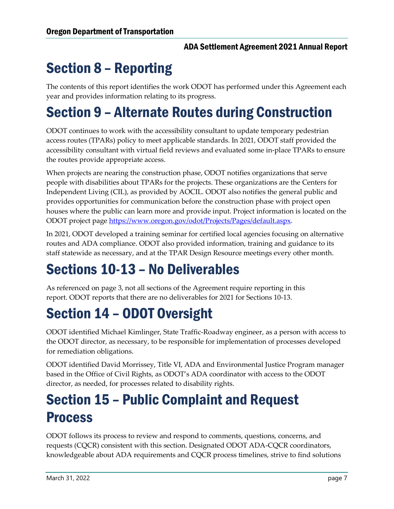### <span id="page-10-0"></span>Section 8 – Reporting

The contents of this report identifies the work ODOT has performed under this Agreement each year and provides information relating to its progress.

### Section 9 – Alternate Routes during Construction

ODOT continues to work with the accessibility consultant to update temporary pedestrian access routes (TPARs) policy to meet applicable standards. In 2021, ODOT staff provided the accessibility consultant with virtual field reviews and evaluated some in-place TPARs to ensure the routes provide appropriate access.

When projects are nearing the construction phase, ODOT notifies organizations that serve people with disabilities about TPARs for the projects. These organizations are the Centers for Independent Living (CIL), as provided by AOCIL. ODOT also notifies the general public and provides opportunities for communication before the construction phase with project open houses where the public can learn more and provide input. Project information is located on the ODOT project page [https://www.oregon.gov/odot/Projects/Pages/default.aspx.](https://www.oregon.gov/odot/Projects/Pages/default.aspx)

In 2021, ODOT developed a training seminar for certified local agencies focusing on alternative routes and ADA compliance. ODOT also provided information, training and guidance to its staff statewide as necessary, and at the TPAR Design Resource meetings every other month.

### <span id="page-10-1"></span>Sections 10-13 – No Deliverables

As referenced on page 3, not all sections of the Agreement require reporting in this report. ODOT reports that there are no deliverables for 2021 for Sections 10-13.

### <span id="page-10-2"></span>Section 14 – ODOT Oversight

ODOT identified Michael Kimlinger, State Traffic-Roadway engineer, as a person with access to the ODOT director, as necessary, to be responsible for implementation of processes developed for remediation obligations.

ODOT identified David Morrissey, Title VI, ADA and Environmental Justice Program manager based in the Office of Civil Rights, as ODOT's ADA coordinator with access to the ODOT director, as needed, for processes related to disability rights.

### <span id="page-10-3"></span>Section 15 – Public Complaint and Request Process

ODOT follows its process to review and respond to comments, questions, concerns, and requests (CQCR) consistent with this section. Designated ODOT ADA-CQCR coordinators, knowledgeable about ADA requirements and CQCR process timelines, strive to find solutions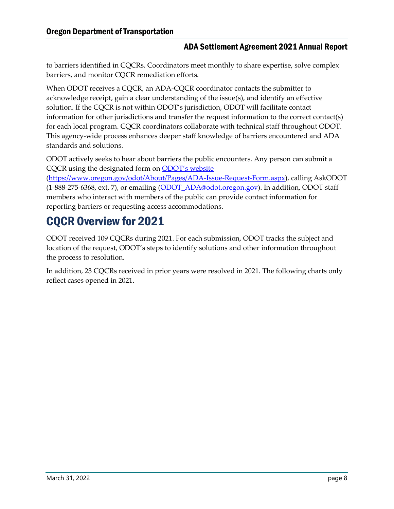to barriers identified in CQCRs. Coordinators meet monthly to share expertise, solve complex barriers, and monitor CQCR remediation efforts.

When ODOT receives a CQCR, an ADA-CQCR coordinator contacts the submitter to acknowledge receipt, gain a clear understanding of the issue(s), and identify an effective solution. If the CQCR is not within ODOT's jurisdiction, ODOT will facilitate contact information for other jurisdictions and transfer the request information to the correct contact(s) for each local program. CQCR coordinators collaborate with technical staff throughout ODOT. This agency-wide process enhances deeper staff knowledge of barriers encountered and ADA standards and solutions.

ODOT actively seeks to hear about barriers the public encounters. Any person can submit a CQCR using the designated form on [ODOT's website](https://www.oregon.gov/odot/About/Pages/ADA-Issue-Request-Form.aspx)

[\(https://www.oregon.gov/odot/About/Pages/ADA-Issue-Request-Form.aspx\)](https://www.oregon.gov/odot/About/Pages/ADA-Issue-Request-Form.aspx), calling AskODOT (1-888-275-6368, ext. 7), or emailing [\(ODOT\\_ADA@odot.oregon.gov\)](mailto:ODOT_ADA@odot.oregon.gov). In addition, ODOT staff members who interact with members of the public can provide contact information for reporting barriers or requesting access accommodations.

### <span id="page-11-0"></span>CQCR Overview for 2021

ODOT received 109 CQCRs during 2021. For each submission, ODOT tracks the subject and location of the request, ODOT's steps to identify solutions and other information throughout the process to resolution.

In addition, 23 CQCRs received in prior years were resolved in 2021. The following charts only reflect cases opened in 2021.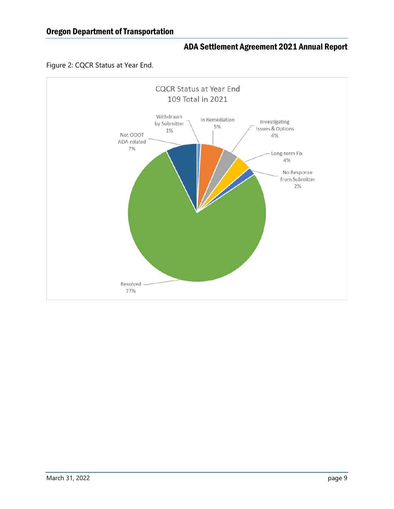

#### <span id="page-12-0"></span>Figure 2: CQCR Status at Year End.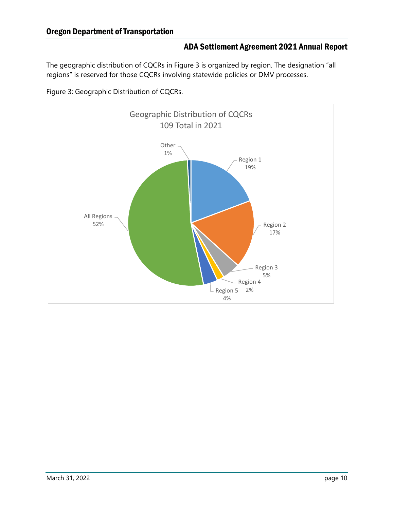<span id="page-13-0"></span>The geographic distribution of CQCRs in Figure 3 is organized by region. The designation "all regions" is reserved for those CQCRs involving statewide policies or DMV processes.



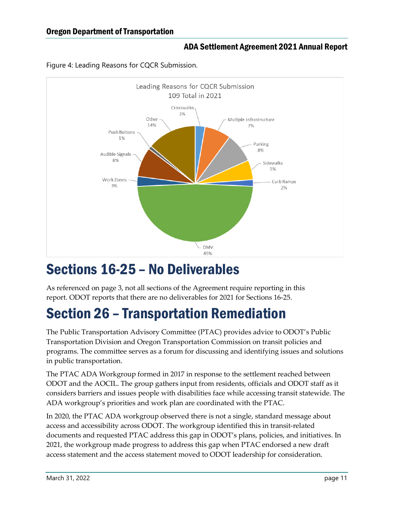

<span id="page-14-2"></span>Figure 4: Leading Reasons for CQCR Submission.

### <span id="page-14-0"></span>Sections 16-25 – No Deliverables

As referenced on page 3, not all sections of the Agreement require reporting in this report. ODOT reports that there are no deliverables for 2021 for Sections 16-25.

### <span id="page-14-1"></span>Section 26 – Transportation Remediation

The Public Transportation Advisory Committee (PTAC) provides advice to ODOT's Public Transportation Division and Oregon Transportation Commission on transit policies and programs. The committee serves as a forum for discussing and identifying issues and solutions in public transportation.

The PTAC ADA Workgroup formed in 2017 in response to the settlement reached between ODOT and the AOCIL. The group gathers input from residents, officials and ODOT staff as it considers barriers and issues people with disabilities face while accessing transit statewide. The ADA workgroup's priorities and work plan are coordinated with the PTAC.

In 2020, the PTAC ADA workgroup observed there is not a single, standard message about access and accessibility across ODOT. The workgroup identified this in transit-related documents and requested PTAC address this gap in ODOT's plans, policies, and initiatives. In 2021, the workgroup made progress to address this gap when PTAC endorsed a new draft access statement and the access statement moved to ODOT leadership for consideration.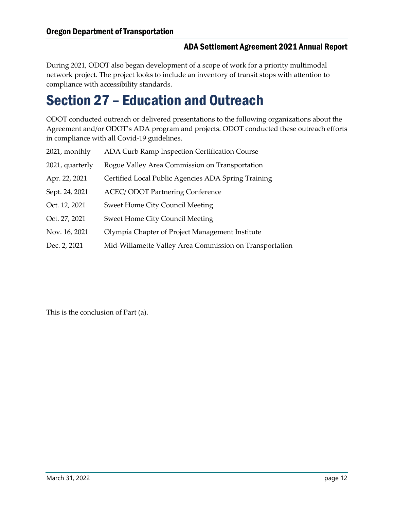During 2021, ODOT also began development of a scope of work for a priority multimodal network project. The project looks to include an inventory of transit stops with attention to compliance with accessibility standards.

### <span id="page-15-0"></span>Section 27 – Education and Outreach

ODOT conducted outreach or delivered presentations to the following organizations about the Agreement and/or ODOT's ADA program and projects. ODOT conducted these outreach efforts in compliance with all Covid-19 guidelines.

| 2021, monthly   | ADA Curb Ramp Inspection Certification Course           |
|-----------------|---------------------------------------------------------|
| 2021, quarterly | Rogue Valley Area Commission on Transportation          |
| Apr. 22, 2021   | Certified Local Public Agencies ADA Spring Training     |
| Sept. 24, 2021  | <b>ACEC/ODOT Partnering Conference</b>                  |
| Oct. 12, 2021   | <b>Sweet Home City Council Meeting</b>                  |
| Oct. 27, 2021   | <b>Sweet Home City Council Meeting</b>                  |
| Nov. 16, 2021   | Olympia Chapter of Project Management Institute         |
| Dec. 2, 2021    | Mid-Willamette Valley Area Commission on Transportation |

This is the conclusion of Part (a).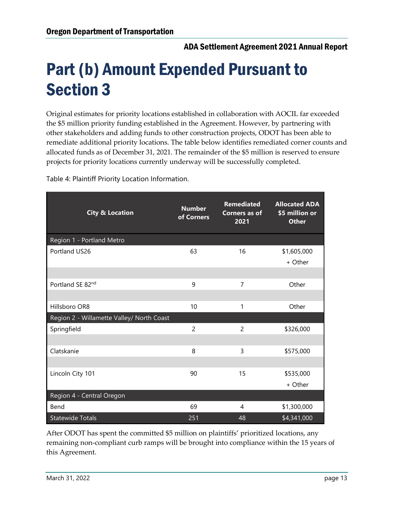# <span id="page-16-0"></span>Part (b) Amount Expended Pursuant to Section 3

Original estimates for priority locations established in collaboration with AOCIL far exceeded the \$5 million priority funding established in the Agreement. However, by partnering with other stakeholders and adding funds to other construction projects, ODOT has been able to remediate additional priority locations. The table below identifies remediated corner counts and allocated funds as of December 31, 2021. The remainder of the \$5 million is reserved to ensure projects for priority locations currently underway will be successfully completed.

<span id="page-16-1"></span>Table 4: Plaintiff Priority Location Information.

| <b>City &amp; Location</b>                | <b>Number</b><br>of Corners | <b>Remediated</b><br><b>Corners as of</b><br>2021 | <b>Allocated ADA</b><br>\$5 million or<br><b>Other</b> |
|-------------------------------------------|-----------------------------|---------------------------------------------------|--------------------------------------------------------|
| Region 1 - Portland Metro                 |                             |                                                   |                                                        |
| Portland US26                             | 63                          | 16                                                | \$1,605,000<br>+ Other                                 |
| Portland SE 82nd                          | 9                           | 7                                                 | Other                                                  |
| Hillsboro OR8                             | 10                          | 1                                                 | Other                                                  |
| Region 2 - Willamette Valley/ North Coast |                             |                                                   |                                                        |
| Springfield                               | $\overline{2}$              | $\overline{c}$                                    | \$326,000                                              |
| Clatskanie                                | 8                           | 3                                                 | \$575,000                                              |
| Lincoln City 101                          | 90                          | 15                                                | \$535,000<br>+ Other                                   |
| Region 4 - Central Oregon                 |                             |                                                   |                                                        |
| Bend                                      | 69                          | 4                                                 | \$1,300,000                                            |
| <b>Statewide Totals</b>                   | 251                         | 48                                                | \$4,341,000                                            |

After ODOT has spent the committed \$5 million on plaintiffs' prioritized locations, any remaining non-compliant curb ramps will be brought into compliance within the 15 years of this Agreement.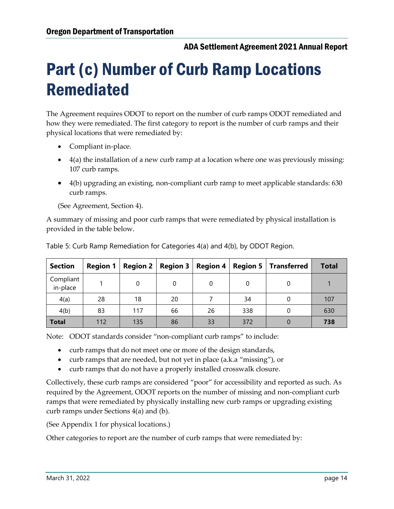# <span id="page-17-0"></span>Part (c) Number of Curb Ramp Locations Remediated

The Agreement requires ODOT to report on the number of curb ramps ODOT remediated and how they were remediated. The first category to report is the number of curb ramps and their physical locations that were remediated by:

- Compliant in-place.
- $\bullet$  4(a) the installation of a new curb ramp at a location where one was previously missing: 107 curb ramps.
- 4(b) upgrading an existing, non-compliant curb ramp to meet applicable standards: 630 curb ramps.

(See Agreement, Section 4).

A summary of missing and poor curb ramps that were remediated by physical installation is provided in the table below.

| <b>Section</b>        | <b>Region 1</b> | Region $2 \mid$ | Region 3 | Region 4 $ $ |     | <b>Region 5</b>   Transferred | <b>Total</b> |
|-----------------------|-----------------|-----------------|----------|--------------|-----|-------------------------------|--------------|
| Compliant<br>in-place |                 | $\Omega$        |          | 0            | 0   |                               |              |
| 4(a)                  | 28              | 18              | 20       |              | 34  |                               | 107          |
| 4(b)                  | 83              | 117             | 66       | 26           | 338 |                               | 630          |
| <b>Total</b>          | 112             | 135             | 86       | 33           | 372 |                               | 738          |

<span id="page-17-1"></span>Table 5: Curb Ramp Remediation for Categories 4(a) and 4(b), by ODOT Region.

Note: ODOT standards consider "non-compliant curb ramps" to include:

- curb ramps that do not meet one or more of the design standards,
- curb ramps that are needed, but not yet in place (a.k.a "missing"), or
- curb ramps that do not have a properly installed crosswalk closure.

Collectively, these curb ramps are considered "poor" for accessibility and reported as such. As required by the Agreement, ODOT reports on the number of missing and non-compliant curb ramps that were remediated by physically installing new curb ramps or upgrading existing curb ramps under Sections 4(a) and (b).

(See Appendix 1 for physical locations.)

Other categories to report are the number of curb ramps that were remediated by: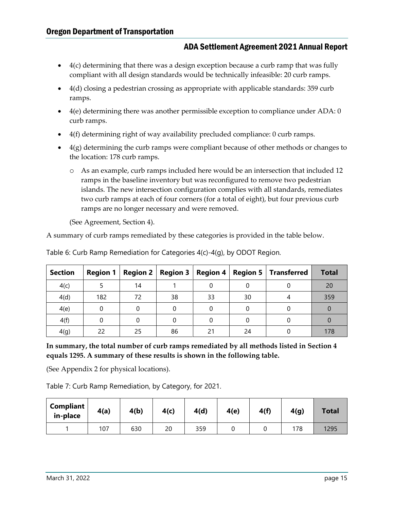- $\bullet$  4(c) determining that there was a design exception because a curb ramp that was fully compliant with all design standards would be technically infeasible: 20 curb ramps.
- 4(d) closing a pedestrian crossing as appropriate with applicable standards: 359 curb ramps.
- $4(e)$  determining there was another permissible exception to compliance under ADA: 0 curb ramps.
- 4(f) determining right of way availability precluded compliance: 0 curb ramps.
- 4(g) determining the curb ramps were compliant because of other methods or changes to the location: 178 curb ramps.
	- o As an example, curb ramps included here would be an intersection that included 12 ramps in the baseline inventory but was reconfigured to remove two pedestrian islands. The new intersection configuration complies with all standards, remediates two curb ramps at each of four corners (for a total of eight), but four previous curb ramps are no longer necessary and were removed.

(See Agreement, Section 4).

A summary of curb ramps remediated by these categories is provided in the table below.

| <b>Section</b> | <b>Region 1</b> |    |    |    |    | Region 2   Region 3   Region 4   Region 5   Transferred | <b>Total</b> |
|----------------|-----------------|----|----|----|----|---------------------------------------------------------|--------------|
| 4(c)           |                 | 14 |    |    |    |                                                         | 20           |
| 4(d)           | 182             | 72 | 38 | 33 | 30 |                                                         | 359          |
| 4(e)           |                 |    |    |    |    |                                                         |              |
| 4(f)           |                 |    |    |    |    |                                                         |              |
| 4(g)           | 22              | 25 | 86 | ገ1 | 24 |                                                         | 178          |

<span id="page-18-0"></span>Table 6: Curb Ramp Remediation for Categories 4(c)-4(g), by ODOT Region.

**In summary, the total number of curb ramps remediated by all methods listed in Section 4 equals 1295. A summary of these results is shown in the following table.** 

(See Appendix 2 for physical locations).

<span id="page-18-1"></span>Table 7: Curb Ramp Remediation, by Category, for 2021.

| Compliant<br>in-place | 4(a) | 4(b) | 4(c) | 4(d) | 4(e) | 4(f) | 4(g) | <b>Total</b> |
|-----------------------|------|------|------|------|------|------|------|--------------|
|                       | 107  | 630  | 20   | 359  |      |      | 178  | 1295         |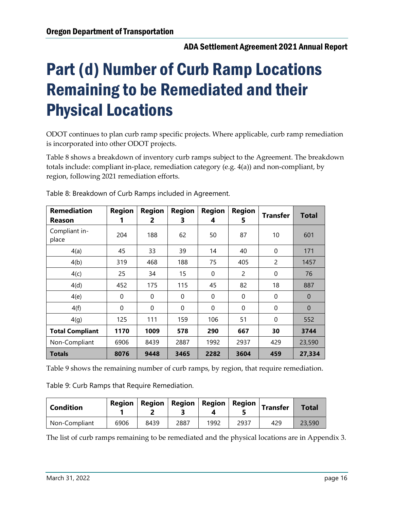# <span id="page-19-0"></span>Part (d) Number of Curb Ramp Locations Remaining to be Remediated and their Physical Locations

ODOT continues to plan curb ramp specific projects. Where applicable, curb ramp remediation is incorporated into other ODOT projects.

Table 8 shows a breakdown of inventory curb ramps subject to the Agreement. The breakdown totals include: compliant in-place, remediation category (e.g. 4(a)) and non-compliant, by region, following 2021 remediation efforts.

| <b>Remediation</b><br>Reason | <b>Region</b><br>1 | <b>Region</b><br>2 | <b>Region</b><br>3 | <b>Region</b><br>4 | <b>Region</b><br>5 | Transfer    | <b>Total</b>   |
|------------------------------|--------------------|--------------------|--------------------|--------------------|--------------------|-------------|----------------|
| Compliant in-<br>place       | 204                | 188                | 62                 | 50                 | 87                 | 10          | 601            |
| 4(a)                         | 45                 | 33                 | 39                 | 14                 | 40                 | $\Omega$    | 171            |
| 4(b)                         | 319                | 468                | 188                | 75                 | 405                | 2           | 1457           |
| 4(c)                         | 25                 | 34                 | 15                 | $\mathbf{0}$       | 2                  | $\Omega$    | 76             |
| 4(d)                         | 452                | 175                | 115                | 45                 | 82                 | 18          | 887            |
| 4(e)                         | $\mathbf{0}$       | $\mathbf{0}$       | $\mathbf{0}$       | $\mathbf{0}$       | $\mathbf 0$        | $\mathbf 0$ | $\overline{0}$ |
| 4(f)                         | $\Omega$           | $\Omega$           | $\mathbf{0}$       | $\mathbf{0}$       | $\Omega$           | $\Omega$    | $\theta$       |
| 4(g)                         | 125                | 111                | 159                | 106                | 51                 | $\Omega$    | 552            |
| <b>Total Compliant</b>       | 1170               | 1009               | 578                | 290                | 667                | 30          | 3744           |
| Non-Compliant                | 6906               | 8439               | 2887               | 1992               | 2937               | 429         | 23,590         |
| <b>Totals</b>                | 8076               | 9448               | 3465               | 2282               | 3604               | 459         | 27,334         |

<span id="page-19-1"></span>Table 8: Breakdown of Curb Ramps included in Agreement.

Table 9 shows the remaining number of curb ramps, by region, that require remediation.

<span id="page-19-2"></span>Table 9: Curb Ramps that Require Remediation.

| <b>Condition</b> | Region |      |      | Region   Region   Region | $ \mathsf{\mathsf{Region}} $ | <b>Transfer</b> | <b>Total</b> |
|------------------|--------|------|------|--------------------------|------------------------------|-----------------|--------------|
| Non-Compliant    | 6906   | 8439 | 2887 | 1992                     | 2937                         | 429             | 23,590       |

The list of curb ramps remaining to be remediated and the physical locations are in Appendix 3.